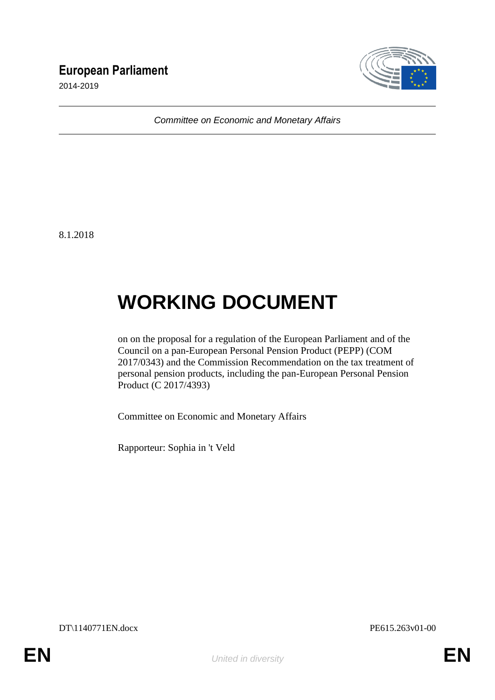# **European Parliament**

2014-2019



*Committee on Economic and Monetary Affairs*

8.1.2018

# **WORKING DOCUMENT**

on on the proposal for a regulation of the European Parliament and of the Council on a pan-European Personal Pension Product (PEPP) (COM 2017/0343) and the Commission Recommendation on the tax treatment of personal pension products, including the pan-European Personal Pension Product (C 2017/4393)

Committee on Economic and Monetary Affairs

Rapporteur: Sophia in 't Veld

DT\1140771EN.docx PE615.263v01-00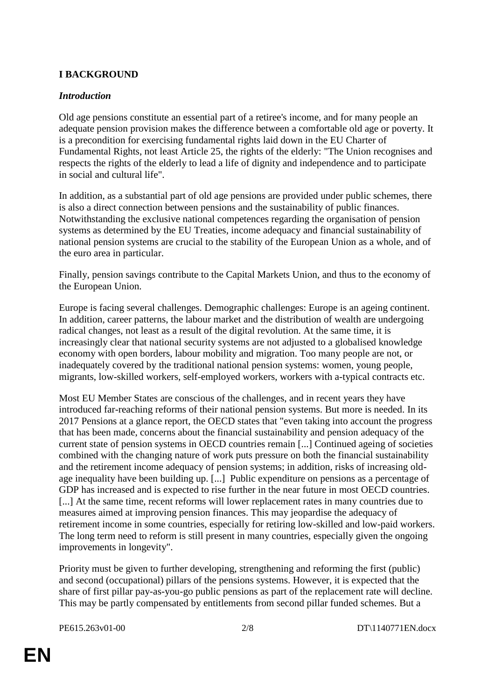# **I BACKGROUND**

#### *Introduction*

Old age pensions constitute an essential part of a retiree's income, and for many people an adequate pension provision makes the difference between a comfortable old age or poverty. It is a precondition for exercising fundamental rights laid down in the EU Charter of Fundamental Rights, not least Article 25, the rights of the elderly: "The Union recognises and respects the rights of the elderly to lead a life of dignity and independence and to participate in social and cultural life".

In addition, as a substantial part of old age pensions are provided under public schemes, there is also a direct connection between pensions and the sustainability of public finances. Notwithstanding the exclusive national competences regarding the organisation of pension systems as determined by the EU Treaties, income adequacy and financial sustainability of national pension systems are crucial to the stability of the European Union as a whole, and of the euro area in particular.

Finally, pension savings contribute to the Capital Markets Union, and thus to the economy of the European Union.

Europe is facing several challenges. Demographic challenges: Europe is an ageing continent. In addition, career patterns, the labour market and the distribution of wealth are undergoing radical changes, not least as a result of the digital revolution. At the same time, it is increasingly clear that national security systems are not adjusted to a globalised knowledge economy with open borders, labour mobility and migration. Too many people are not, or inadequately covered by the traditional national pension systems: women, young people, migrants, low-skilled workers, self-employed workers, workers with a-typical contracts etc.

Most EU Member States are conscious of the challenges, and in recent years they have introduced far-reaching reforms of their national pension systems. But more is needed. In its 2017 Pensions at a glance report, the OECD states that "even taking into account the progress that has been made, concerns about the financial sustainability and pension adequacy of the current state of pension systems in OECD countries remain [...] Continued ageing of societies combined with the changing nature of work puts pressure on both the financial sustainability and the retirement income adequacy of pension systems; in addition, risks of increasing oldage inequality have been building up. [...] Public expenditure on pensions as a percentage of GDP has increased and is expected to rise further in the near future in most OECD countries. [...] At the same time, recent reforms will lower replacement rates in many countries due to measures aimed at improving pension finances. This may jeopardise the adequacy of retirement income in some countries, especially for retiring low-skilled and low-paid workers. The long term need to reform is still present in many countries, especially given the ongoing improvements in longevity".

Priority must be given to further developing, strengthening and reforming the first (public) and second (occupational) pillars of the pensions systems. However, it is expected that the share of first pillar pay-as-you-go public pensions as part of the replacement rate will decline. This may be partly compensated by entitlements from second pillar funded schemes. But a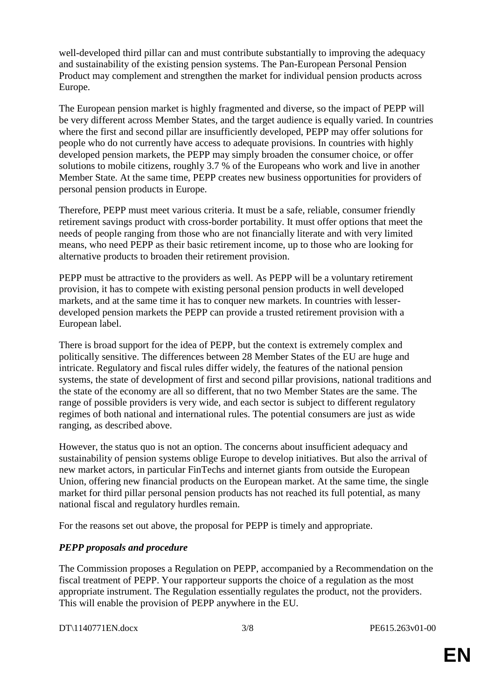well-developed third pillar can and must contribute substantially to improving the adequacy and sustainability of the existing pension systems. The Pan-European Personal Pension Product may complement and strengthen the market for individual pension products across Europe.

The European pension market is highly fragmented and diverse, so the impact of PEPP will be very different across Member States, and the target audience is equally varied. In countries where the first and second pillar are insufficiently developed, PEPP may offer solutions for people who do not currently have access to adequate provisions. In countries with highly developed pension markets, the PEPP may simply broaden the consumer choice, or offer solutions to mobile citizens, roughly 3.7 % of the Europeans who work and live in another Member State. At the same time, PEPP creates new business opportunities for providers of personal pension products in Europe.

Therefore, PEPP must meet various criteria. It must be a safe, reliable, consumer friendly retirement savings product with cross-border portability. It must offer options that meet the needs of people ranging from those who are not financially literate and with very limited means, who need PEPP as their basic retirement income, up to those who are looking for alternative products to broaden their retirement provision.

PEPP must be attractive to the providers as well. As PEPP will be a voluntary retirement provision, it has to compete with existing personal pension products in well developed markets, and at the same time it has to conquer new markets. In countries with lesserdeveloped pension markets the PEPP can provide a trusted retirement provision with a European label.

There is broad support for the idea of PEPP, but the context is extremely complex and politically sensitive. The differences between 28 Member States of the EU are huge and intricate. Regulatory and fiscal rules differ widely, the features of the national pension systems, the state of development of first and second pillar provisions, national traditions and the state of the economy are all so different, that no two Member States are the same. The range of possible providers is very wide, and each sector is subject to different regulatory regimes of both national and international rules. The potential consumers are just as wide ranging, as described above.

However, the status quo is not an option. The concerns about insufficient adequacy and sustainability of pension systems oblige Europe to develop initiatives. But also the arrival of new market actors, in particular FinTechs and internet giants from outside the European Union, offering new financial products on the European market. At the same time, the single market for third pillar personal pension products has not reached its full potential, as many national fiscal and regulatory hurdles remain.

For the reasons set out above, the proposal for PEPP is timely and appropriate.

# *PEPP proposals and procedure*

The Commission proposes a Regulation on PEPP, accompanied by a Recommendation on the fiscal treatment of PEPP. Your rapporteur supports the choice of a regulation as the most appropriate instrument. The Regulation essentially regulates the product, not the providers. This will enable the provision of PEPP anywhere in the EU.

DT\1140771EN.docx 3/8 PE615.263v01-00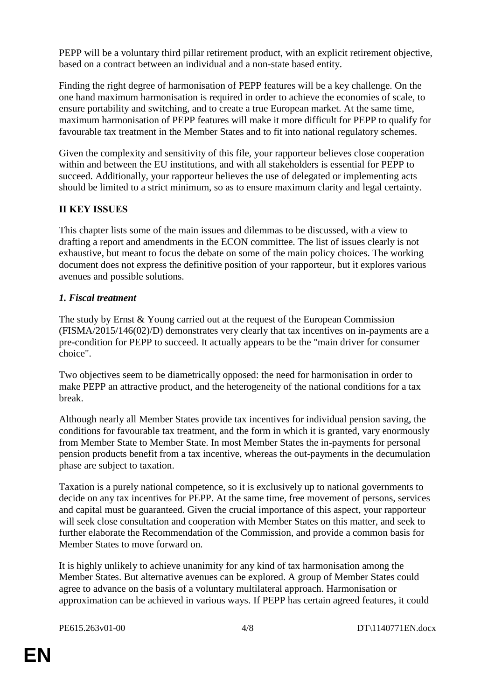PEPP will be a voluntary third pillar retirement product, with an explicit retirement objective, based on a contract between an individual and a non-state based entity.

Finding the right degree of harmonisation of PEPP features will be a key challenge. On the one hand maximum harmonisation is required in order to achieve the economies of scale, to ensure portability and switching, and to create a true European market. At the same time, maximum harmonisation of PEPP features will make it more difficult for PEPP to qualify for favourable tax treatment in the Member States and to fit into national regulatory schemes.

Given the complexity and sensitivity of this file, your rapporteur believes close cooperation within and between the EU institutions, and with all stakeholders is essential for PEPP to succeed. Additionally, your rapporteur believes the use of delegated or implementing acts should be limited to a strict minimum, so as to ensure maximum clarity and legal certainty.

# **II KEY ISSUES**

This chapter lists some of the main issues and dilemmas to be discussed, with a view to drafting a report and amendments in the ECON committee. The list of issues clearly is not exhaustive, but meant to focus the debate on some of the main policy choices. The working document does not express the definitive position of your rapporteur, but it explores various avenues and possible solutions.

#### *1. Fiscal treatment*

The study by Ernst & Young carried out at the request of the European Commission (FISMA/2015/146(02)/D) demonstrates very clearly that tax incentives on in-payments are a pre-condition for PEPP to succeed. It actually appears to be the "main driver for consumer choice".

Two objectives seem to be diametrically opposed: the need for harmonisation in order to make PEPP an attractive product, and the heterogeneity of the national conditions for a tax break.

Although nearly all Member States provide tax incentives for individual pension saving, the conditions for favourable tax treatment, and the form in which it is granted, vary enormously from Member State to Member State. In most Member States the in-payments for personal pension products benefit from a tax incentive, whereas the out-payments in the decumulation phase are subject to taxation.

Taxation is a purely national competence, so it is exclusively up to national governments to decide on any tax incentives for PEPP. At the same time, free movement of persons, services and capital must be guaranteed. Given the crucial importance of this aspect, your rapporteur will seek close consultation and cooperation with Member States on this matter, and seek to further elaborate the Recommendation of the Commission, and provide a common basis for Member States to move forward on.

It is highly unlikely to achieve unanimity for any kind of tax harmonisation among the Member States. But alternative avenues can be explored. A group of Member States could agree to advance on the basis of a voluntary multilateral approach. Harmonisation or approximation can be achieved in various ways. If PEPP has certain agreed features, it could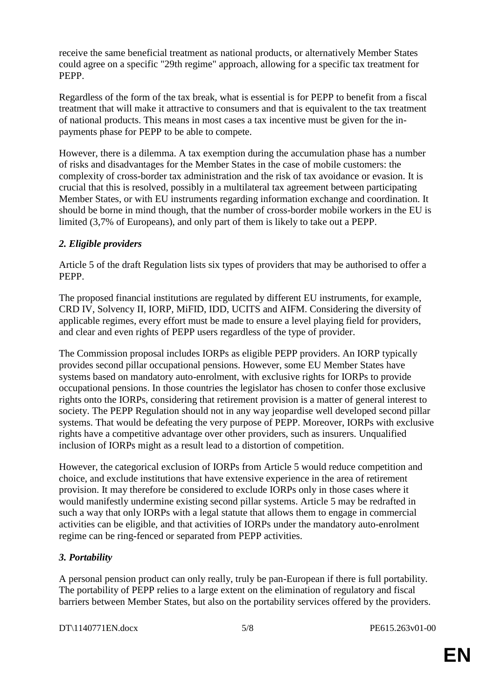receive the same beneficial treatment as national products, or alternatively Member States could agree on a specific "29th regime" approach, allowing for a specific tax treatment for PEPP.

Regardless of the form of the tax break, what is essential is for PEPP to benefit from a fiscal treatment that will make it attractive to consumers and that is equivalent to the tax treatment of national products. This means in most cases a tax incentive must be given for the inpayments phase for PEPP to be able to compete.

However, there is a dilemma. A tax exemption during the accumulation phase has a number of risks and disadvantages for the Member States in the case of mobile customers: the complexity of cross-border tax administration and the risk of tax avoidance or evasion. It is crucial that this is resolved, possibly in a multilateral tax agreement between participating Member States, or with EU instruments regarding information exchange and coordination. It should be borne in mind though, that the number of cross-border mobile workers in the EU is limited (3,7% of Europeans), and only part of them is likely to take out a PEPP.

#### *2. Eligible providers*

Article 5 of the draft Regulation lists six types of providers that may be authorised to offer a PEPP.

The proposed financial institutions are regulated by different EU instruments, for example, CRD IV, Solvency II, IORP, MiFID, IDD, UCITS and AIFM. Considering the diversity of applicable regimes, every effort must be made to ensure a level playing field for providers, and clear and even rights of PEPP users regardless of the type of provider.

The Commission proposal includes IORPs as eligible PEPP providers. An IORP typically provides second pillar occupational pensions. However, some EU Member States have systems based on mandatory auto-enrolment, with exclusive rights for IORPs to provide occupational pensions. In those countries the legislator has chosen to confer those exclusive rights onto the IORPs, considering that retirement provision is a matter of general interest to society. The PEPP Regulation should not in any way jeopardise well developed second pillar systems. That would be defeating the very purpose of PEPP. Moreover, IORPs with exclusive rights have a competitive advantage over other providers, such as insurers. Unqualified inclusion of IORPs might as a result lead to a distortion of competition.

However, the categorical exclusion of IORPs from Article 5 would reduce competition and choice, and exclude institutions that have extensive experience in the area of retirement provision. It may therefore be considered to exclude IORPs only in those cases where it would manifestly undermine existing second pillar systems. Article 5 may be redrafted in such a way that only IORPs with a legal statute that allows them to engage in commercial activities can be eligible, and that activities of IORPs under the mandatory auto-enrolment regime can be ring-fenced or separated from PEPP activities.

# *3. Portability*

A personal pension product can only really, truly be pan-European if there is full portability. The portability of PEPP relies to a large extent on the elimination of regulatory and fiscal barriers between Member States, but also on the portability services offered by the providers.

DT\1140771EN.docx 5/8 PE615.263v01-00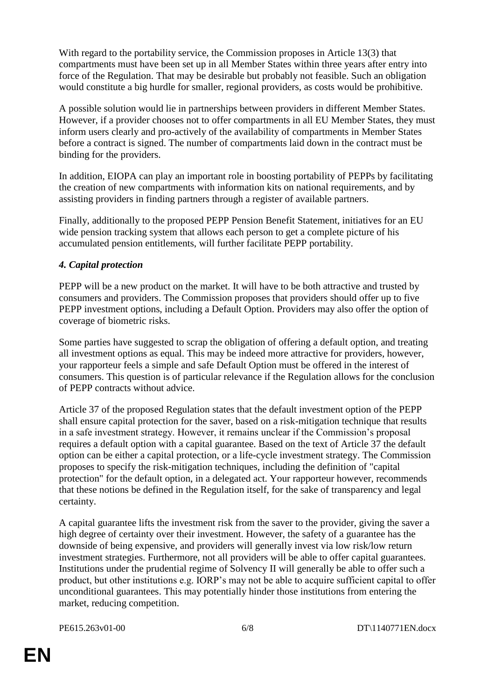With regard to the portability service, the Commission proposes in Article 13(3) that compartments must have been set up in all Member States within three years after entry into force of the Regulation. That may be desirable but probably not feasible. Such an obligation would constitute a big hurdle for smaller, regional providers, as costs would be prohibitive.

A possible solution would lie in partnerships between providers in different Member States. However, if a provider chooses not to offer compartments in all EU Member States, they must inform users clearly and pro-actively of the availability of compartments in Member States before a contract is signed. The number of compartments laid down in the contract must be binding for the providers.

In addition, EIOPA can play an important role in boosting portability of PEPPs by facilitating the creation of new compartments with information kits on national requirements, and by assisting providers in finding partners through a register of available partners.

Finally, additionally to the proposed PEPP Pension Benefit Statement, initiatives for an EU wide pension tracking system that allows each person to get a complete picture of his accumulated pension entitlements, will further facilitate PEPP portability.

#### *4. Capital protection*

PEPP will be a new product on the market. It will have to be both attractive and trusted by consumers and providers. The Commission proposes that providers should offer up to five PEPP investment options, including a Default Option. Providers may also offer the option of coverage of biometric risks.

Some parties have suggested to scrap the obligation of offering a default option, and treating all investment options as equal. This may be indeed more attractive for providers, however, your rapporteur feels a simple and safe Default Option must be offered in the interest of consumers. This question is of particular relevance if the Regulation allows for the conclusion of PEPP contracts without advice.

Article 37 of the proposed Regulation states that the default investment option of the PEPP shall ensure capital protection for the saver, based on a risk-mitigation technique that results in a safe investment strategy. However, it remains unclear if the Commission's proposal requires a default option with a capital guarantee. Based on the text of Article 37 the default option can be either a capital protection, or a life-cycle investment strategy. The Commission proposes to specify the risk-mitigation techniques, including the definition of "capital protection" for the default option, in a delegated act. Your rapporteur however, recommends that these notions be defined in the Regulation itself, for the sake of transparency and legal certainty.

A capital guarantee lifts the investment risk from the saver to the provider, giving the saver a high degree of certainty over their investment. However, the safety of a guarantee has the downside of being expensive, and providers will generally invest via low risk/low return investment strategies. Furthermore, not all providers will be able to offer capital guarantees. Institutions under the prudential regime of Solvency II will generally be able to offer such a product, but other institutions e.g. IORP's may not be able to acquire sufficient capital to offer unconditional guarantees. This may potentially hinder those institutions from entering the market, reducing competition.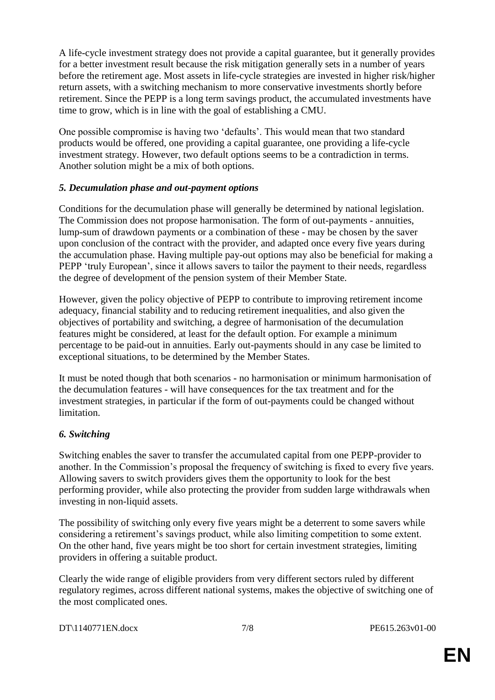A life-cycle investment strategy does not provide a capital guarantee, but it generally provides for a better investment result because the risk mitigation generally sets in a number of years before the retirement age. Most assets in life-cycle strategies are invested in higher risk/higher return assets, with a switching mechanism to more conservative investments shortly before retirement. Since the PEPP is a long term savings product, the accumulated investments have time to grow, which is in line with the goal of establishing a CMU.

One possible compromise is having two 'defaults'. This would mean that two standard products would be offered, one providing a capital guarantee, one providing a life-cycle investment strategy. However, two default options seems to be a contradiction in terms. Another solution might be a mix of both options.

#### *5. Decumulation phase and out-payment options*

Conditions for the decumulation phase will generally be determined by national legislation. The Commission does not propose harmonisation. The form of out-payments - annuities, lump-sum of drawdown payments or a combination of these - may be chosen by the saver upon conclusion of the contract with the provider, and adapted once every five years during the accumulation phase. Having multiple pay-out options may also be beneficial for making a PEPP 'truly European', since it allows savers to tailor the payment to their needs, regardless the degree of development of the pension system of their Member State.

However, given the policy objective of PEPP to contribute to improving retirement income adequacy, financial stability and to reducing retirement inequalities, and also given the objectives of portability and switching, a degree of harmonisation of the decumulation features might be considered, at least for the default option. For example a minimum percentage to be paid-out in annuities. Early out-payments should in any case be limited to exceptional situations, to be determined by the Member States.

It must be noted though that both scenarios - no harmonisation or minimum harmonisation of the decumulation features - will have consequences for the tax treatment and for the investment strategies, in particular if the form of out-payments could be changed without limitation.

# *6. Switching*

Switching enables the saver to transfer the accumulated capital from one PEPP-provider to another. In the Commission's proposal the frequency of switching is fixed to every five years. Allowing savers to switch providers gives them the opportunity to look for the best performing provider, while also protecting the provider from sudden large withdrawals when investing in non-liquid assets.

The possibility of switching only every five years might be a deterrent to some savers while considering a retirement's savings product, while also limiting competition to some extent. On the other hand, five years might be too short for certain investment strategies, limiting providers in offering a suitable product.

Clearly the wide range of eligible providers from very different sectors ruled by different regulatory regimes, across different national systems, makes the objective of switching one of the most complicated ones.

DT\1140771EN.docx 7/8 PE615.263v01-00